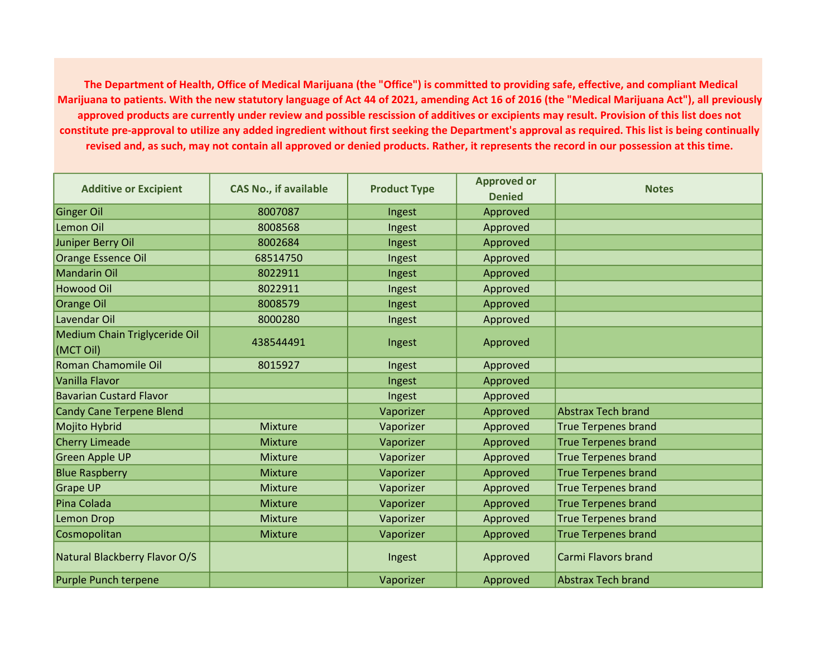The Department of Health, Office of Medical Marijuana (the "Office") is committed to providing safe, effective, and compliant Medical Marijuana to patients. With the new statutory language of Act 44 of 2021, amending Act 16 of 2016 (the "Medical Marijuana Act"), all previously approved products are currently under review and possible rescission of additives or excipients may result. Provision of this list does not constitute pre-approval to utilize any added ingredient without first seeking the Department's approval as required. This list is being continually revised and, as such, may not contain all approved or denied products. Rather, it represents the record in our possession at this time.

| <b>Additive or Excipient</b>               | <b>CAS No., if available</b> | <b>Product Type</b> | <b>Approved or</b><br><b>Denied</b> | <b>Notes</b>               |
|--------------------------------------------|------------------------------|---------------------|-------------------------------------|----------------------------|
| Ginger Oil                                 | 8007087                      | Ingest              | Approved                            |                            |
| Lemon Oil                                  | 8008568                      | Ingest              | Approved                            |                            |
| Juniper Berry Oil                          | 8002684                      | Ingest              | Approved                            |                            |
| Orange Essence Oil                         | 68514750                     | Ingest              | Approved                            |                            |
| Mandarin Oil                               | 8022911                      | Ingest              | Approved                            |                            |
| Howood Oil                                 | 8022911                      | Ingest              | Approved                            |                            |
| <b>Orange Oil</b>                          | 8008579                      | Ingest              | Approved                            |                            |
| Lavendar Oil                               | 8000280                      | Ingest              | Approved                            |                            |
| Medium Chain Triglyceride Oil<br>(MCT Oil) | 438544491                    | Ingest              | Approved                            |                            |
| Roman Chamomile Oil                        | 8015927                      | Ingest              | Approved                            |                            |
| Vanilla Flavor                             |                              | Ingest              | Approved                            |                            |
| <b>Bavarian Custard Flavor</b>             |                              | Ingest              | Approved                            |                            |
| Candy Cane Terpene Blend                   |                              | Vaporizer           | Approved                            | <b>Abstrax Tech brand</b>  |
| Mojito Hybrid                              | <b>Mixture</b>               | Vaporizer           | Approved                            | <b>True Terpenes brand</b> |
| Cherry Limeade                             | <b>Mixture</b>               | Vaporizer           | Approved                            | <b>True Terpenes brand</b> |
| Green Apple UP                             | Mixture                      | Vaporizer           | Approved                            | <b>True Terpenes brand</b> |
| <b>Blue Raspberry</b>                      | <b>Mixture</b>               | Vaporizer           | Approved                            | <b>True Terpenes brand</b> |
| <b>Grape UP</b>                            | <b>Mixture</b>               | Vaporizer           | Approved                            | <b>True Terpenes brand</b> |
| Pina Colada                                | Mixture                      | Vaporizer           | Approved                            | <b>True Terpenes brand</b> |
| <b>Lemon Drop</b>                          | <b>Mixture</b>               | Vaporizer           | Approved                            | <b>True Terpenes brand</b> |
| Cosmopolitan                               | <b>Mixture</b>               | Vaporizer           | Approved                            | <b>True Terpenes brand</b> |
| Natural Blackberry Flavor O/S              |                              | Ingest              | Approved                            | Carmi Flavors brand        |
| <b>Purple Punch terpene</b>                |                              | Vaporizer           | Approved                            | <b>Abstrax Tech brand</b>  |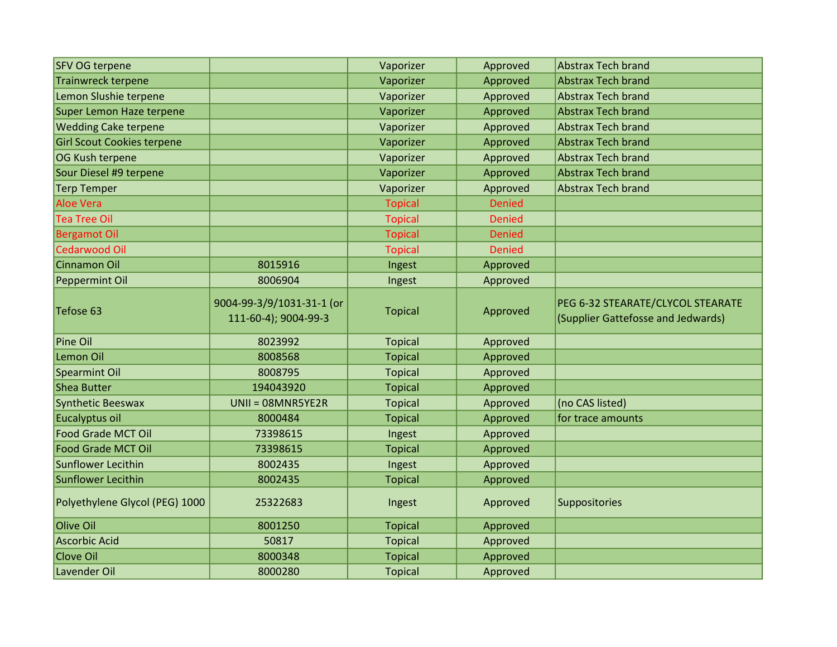| <b>SFV OG terpene</b>             |                                                   | Vaporizer      | Approved      | <b>Abstrax Tech brand</b>                                               |
|-----------------------------------|---------------------------------------------------|----------------|---------------|-------------------------------------------------------------------------|
| <b>Trainwreck terpene</b>         |                                                   | Vaporizer      | Approved      | <b>Abstrax Tech brand</b>                                               |
| Lemon Slushie terpene             |                                                   | Vaporizer      | Approved      | <b>Abstrax Tech brand</b>                                               |
| Super Lemon Haze terpene          |                                                   | Vaporizer      | Approved      | <b>Abstrax Tech brand</b>                                               |
| <b>Wedding Cake terpene</b>       |                                                   | Vaporizer      | Approved      | <b>Abstrax Tech brand</b>                                               |
| <b>Girl Scout Cookies terpene</b> |                                                   | Vaporizer      | Approved      | <b>Abstrax Tech brand</b>                                               |
| OG Kush terpene                   |                                                   | Vaporizer      | Approved      | <b>Abstrax Tech brand</b>                                               |
| Sour Diesel #9 terpene            |                                                   | Vaporizer      | Approved      | <b>Abstrax Tech brand</b>                                               |
| <b>Terp Temper</b>                |                                                   | Vaporizer      | Approved      | <b>Abstrax Tech brand</b>                                               |
| <b>Aloe Vera</b>                  |                                                   | <b>Topical</b> | <b>Denied</b> |                                                                         |
| <b>Tea Tree Oil</b>               |                                                   | <b>Topical</b> | <b>Denied</b> |                                                                         |
| <b>Bergamot Oil</b>               |                                                   | <b>Topical</b> | <b>Denied</b> |                                                                         |
| <b>Cedarwood Oil</b>              |                                                   | <b>Topical</b> | <b>Denied</b> |                                                                         |
| Cinnamon Oil                      | 8015916                                           | Ingest         | Approved      |                                                                         |
| Peppermint Oil                    | 8006904                                           | Ingest         | Approved      |                                                                         |
| Tefose 63                         | 9004-99-3/9/1031-31-1 (or<br>111-60-4); 9004-99-3 | <b>Topical</b> | Approved      | PEG 6-32 STEARATE/CLYCOL STEARATE<br>(Supplier Gattefosse and Jedwards) |
| <b>Pine Oil</b>                   | 8023992                                           | <b>Topical</b> | Approved      |                                                                         |
| Lemon Oil                         | 8008568                                           | <b>Topical</b> | Approved      |                                                                         |
| Spearmint Oil                     | 8008795                                           | <b>Topical</b> | Approved      |                                                                         |
| Shea Butter                       | 194043920                                         | <b>Topical</b> | Approved      |                                                                         |
| Synthetic Beeswax                 | UNII = 08MNR5YE2R                                 | <b>Topical</b> | Approved      | (no CAS listed)                                                         |
| Eucalyptus oil                    | 8000484                                           | <b>Topical</b> | Approved      | for trace amounts                                                       |
| <b>Food Grade MCT Oil</b>         | 73398615                                          | Ingest         | Approved      |                                                                         |
| <b>Food Grade MCT Oil</b>         | 73398615                                          | <b>Topical</b> | Approved      |                                                                         |
| Sunflower Lecithin                | 8002435                                           | Ingest         | Approved      |                                                                         |
| Sunflower Lecithin                | 8002435                                           | <b>Topical</b> | Approved      |                                                                         |
| Polyethylene Glycol (PEG) 1000    | 25322683                                          | Ingest         | Approved      | Suppositories                                                           |
| Olive Oil                         | 8001250                                           | <b>Topical</b> | Approved      |                                                                         |
| Ascorbic Acid                     | 50817                                             | <b>Topical</b> | Approved      |                                                                         |
| Clove Oil                         | 8000348                                           | <b>Topical</b> | Approved      |                                                                         |
| Lavender Oil                      | 8000280                                           | <b>Topical</b> | Approved      |                                                                         |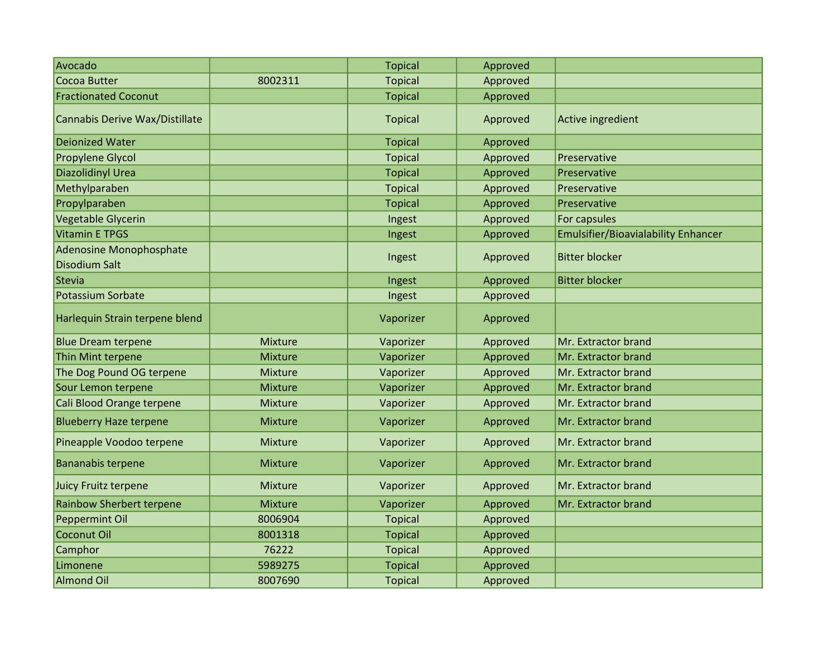| Avocado                                                |                | <b>Topical</b> | Approved |                                            |
|--------------------------------------------------------|----------------|----------------|----------|--------------------------------------------|
| Cocoa Butter                                           | 8002311        | <b>Topical</b> | Approved |                                            |
| <b>Fractionated Coconut</b>                            |                | <b>Topical</b> | Approved |                                            |
| Cannabis Derive Wax/Distillate                         |                | <b>Topical</b> | Approved | Active ingredient                          |
| <b>Deionized Water</b>                                 |                | <b>Topical</b> | Approved |                                            |
| <b>Propylene Glycol</b>                                |                | <b>Topical</b> | Approved | Preservative                               |
| Diazolidinyl Urea                                      |                | <b>Topical</b> | Approved | Preservative                               |
| Methylparaben                                          |                | <b>Topical</b> | Approved | Preservative                               |
| Propylparaben                                          |                | <b>Topical</b> | Approved | Preservative                               |
| Vegetable Glycerin                                     |                | Ingest         | Approved | For capsules                               |
| <b>Vitamin E TPGS</b>                                  |                | Ingest         | Approved | <b>Emulsifier/Bioavialability Enhancer</b> |
| <b>Adenosine Monophosphate</b><br><b>Disodium Salt</b> |                | Ingest         | Approved | <b>Bitter blocker</b>                      |
| Stevia                                                 |                | Ingest         | Approved | <b>Bitter blocker</b>                      |
| Potassium Sorbate                                      |                | Ingest         | Approved |                                            |
| Harlequin Strain terpene blend                         |                | Vaporizer      | Approved |                                            |
| <b>Blue Dream terpene</b>                              | Mixture        | Vaporizer      | Approved | Mr. Extractor brand                        |
| Thin Mint terpene                                      | Mixture        | Vaporizer      | Approved | Mr. Extractor brand                        |
| The Dog Pound OG terpene                               | Mixture        | Vaporizer      | Approved | Mr. Extractor brand                        |
| Sour Lemon terpene                                     | <b>Mixture</b> | Vaporizer      | Approved | Mr. Extractor brand                        |
| Cali Blood Orange terpene                              | <b>Mixture</b> | Vaporizer      | Approved | Mr. Extractor brand                        |
| <b>Blueberry Haze terpene</b>                          | <b>Mixture</b> | Vaporizer      | Approved | Mr. Extractor brand                        |
| Pineapple Voodoo terpene                               | Mixture        | Vaporizer      | Approved | Mr. Extractor brand                        |
| Bananabis terpene                                      | Mixture        | Vaporizer      | Approved | Mr. Extractor brand                        |
| Juicy Fruitz terpene                                   | Mixture        | Vaporizer      | Approved | Mr. Extractor brand                        |
| <b>Rainbow Sherbert terpene</b>                        | Mixture        | Vaporizer      | Approved | Mr. Extractor brand                        |
| Peppermint Oil                                         | 8006904        | <b>Topical</b> | Approved |                                            |
| Coconut Oil                                            | 8001318        | <b>Topical</b> | Approved |                                            |
| Camphor                                                | 76222          | <b>Topical</b> | Approved |                                            |
| Limonene                                               | 5989275        | <b>Topical</b> | Approved |                                            |
| <b>Almond Oil</b>                                      | 8007690        | <b>Topical</b> | Approved |                                            |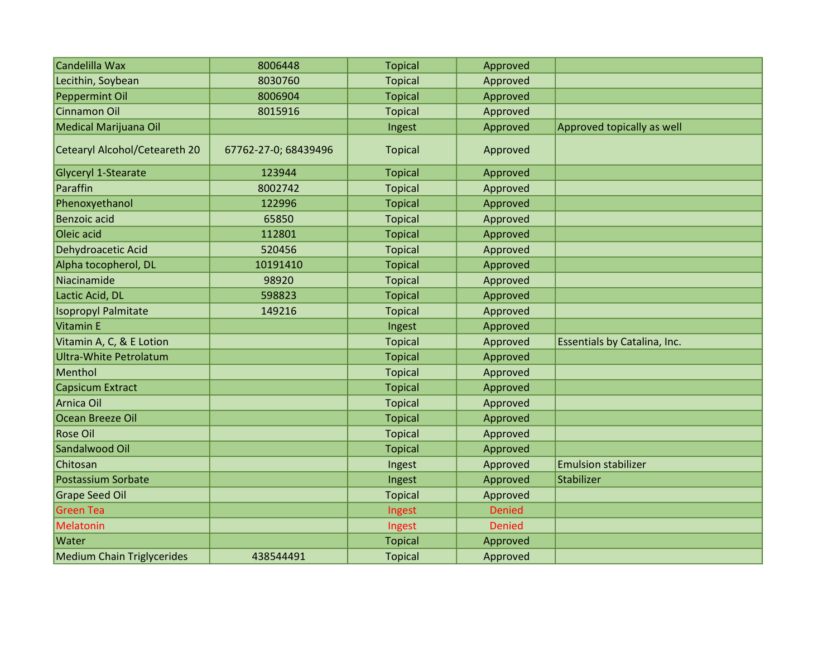| Candelilla Wax                    | 8006448              | <b>Topical</b> | Approved      |                              |
|-----------------------------------|----------------------|----------------|---------------|------------------------------|
| Lecithin, Soybean                 | 8030760              | <b>Topical</b> | Approved      |                              |
| Peppermint Oil                    | 8006904              | <b>Topical</b> | Approved      |                              |
| Cinnamon Oil                      | 8015916              | <b>Topical</b> | Approved      |                              |
| Medical Marijuana Oil             |                      | Ingest         | Approved      | Approved topically as well   |
| Cetearyl Alcohol/Ceteareth 20     | 67762-27-0; 68439496 | <b>Topical</b> | Approved      |                              |
| Glyceryl 1-Stearate               | 123944               | <b>Topical</b> | Approved      |                              |
| Paraffin                          | 8002742              | <b>Topical</b> | Approved      |                              |
| Phenoxyethanol                    | 122996               | <b>Topical</b> | Approved      |                              |
| Benzoic acid                      | 65850                | <b>Topical</b> | Approved      |                              |
| Oleic acid                        | 112801               | <b>Topical</b> | Approved      |                              |
| Dehydroacetic Acid                | 520456               | <b>Topical</b> | Approved      |                              |
| Alpha tocopherol, DL              | 10191410             | <b>Topical</b> | Approved      |                              |
| Niacinamide                       | 98920                | <b>Topical</b> | Approved      |                              |
| Lactic Acid, DL                   | 598823               | <b>Topical</b> | Approved      |                              |
| <b>Isopropyl Palmitate</b>        | 149216               | <b>Topical</b> | Approved      |                              |
| Vitamin E                         |                      | Ingest         | Approved      |                              |
| Vitamin A, C, & E Lotion          |                      | <b>Topical</b> | Approved      | Essentials by Catalina, Inc. |
| <b>Ultra-White Petrolatum</b>     |                      | <b>Topical</b> | Approved      |                              |
| Menthol                           |                      | <b>Topical</b> | Approved      |                              |
| Capsicum Extract                  |                      | <b>Topical</b> | Approved      |                              |
| Arnica Oil                        |                      | <b>Topical</b> | Approved      |                              |
| Ocean Breeze Oil                  |                      | <b>Topical</b> | Approved      |                              |
| <b>Rose Oil</b>                   |                      | <b>Topical</b> | Approved      |                              |
| Sandalwood Oil                    |                      | <b>Topical</b> | Approved      |                              |
| Chitosan                          |                      | Ingest         | Approved      | <b>Emulsion stabilizer</b>   |
| Postassium Sorbate                |                      | Ingest         | Approved      | Stabilizer                   |
| Grape Seed Oil                    |                      | <b>Topical</b> | Approved      |                              |
| <b>Green Tea</b>                  |                      | Ingest         | <b>Denied</b> |                              |
| Melatonin                         |                      | Ingest         | <b>Denied</b> |                              |
| Water                             |                      | <b>Topical</b> | Approved      |                              |
| <b>Medium Chain Triglycerides</b> | 438544491            | <b>Topical</b> | Approved      |                              |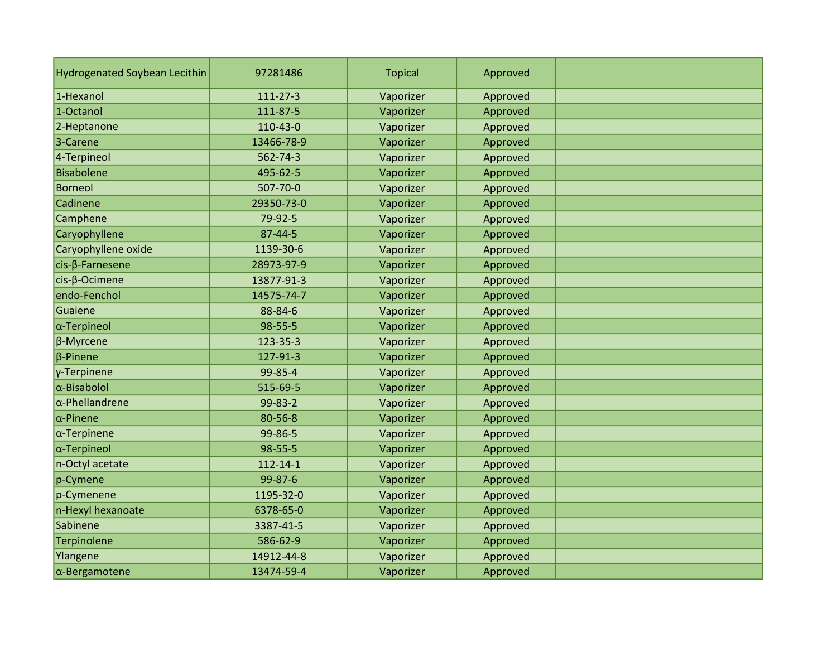| <b>Hydrogenated Soybean Lecithin</b> | 97281486       | <b>Topical</b> | Approved |  |
|--------------------------------------|----------------|----------------|----------|--|
| 1-Hexanol                            | 111-27-3       | Vaporizer      | Approved |  |
| 1-Octanol                            | 111-87-5       | Vaporizer      | Approved |  |
| 2-Heptanone                          | 110-43-0       | Vaporizer      | Approved |  |
| 3-Carene                             | 13466-78-9     | Vaporizer      | Approved |  |
| 4-Terpineol                          | 562-74-3       | Vaporizer      | Approved |  |
| Bisabolene                           | 495-62-5       | Vaporizer      | Approved |  |
| Borneol                              | 507-70-0       | Vaporizer      | Approved |  |
| Cadinene                             | 29350-73-0     | Vaporizer      | Approved |  |
| Camphene                             | 79-92-5        | Vaporizer      | Approved |  |
| Caryophyllene                        | 87-44-5        | Vaporizer      | Approved |  |
| Caryophyllene oxide                  | 1139-30-6      | Vaporizer      | Approved |  |
| cis-ß-Farnesene                      | 28973-97-9     | Vaporizer      | Approved |  |
| cis-β-Ocimene                        | 13877-91-3     | Vaporizer      | Approved |  |
| endo-Fenchol                         | 14575-74-7     | Vaporizer      | Approved |  |
| Guaiene                              | 88-84-6        | Vaporizer      | Approved |  |
| $\alpha$ -Terpineol                  | 98-55-5        | Vaporizer      | Approved |  |
| $\beta$ -Myrcene                     | 123-35-3       | Vaporizer      | Approved |  |
| $\beta$ -Pinene                      | 127-91-3       | Vaporizer      | Approved |  |
| γ-Terpinene                          | 99-85-4        | Vaporizer      | Approved |  |
| $\alpha$ -Bisabolol                  | 515-69-5       | Vaporizer      | Approved |  |
| $\alpha$ -Phellandrene               | 99-83-2        | Vaporizer      | Approved |  |
| $\alpha$ -Pinene                     | 80-56-8        | Vaporizer      | Approved |  |
| $\alpha$ -Terpinene                  | 99-86-5        | Vaporizer      | Approved |  |
| $\alpha$ -Terpineol                  | 98-55-5        | Vaporizer      | Approved |  |
| n-Octyl acetate                      | $112 - 14 - 1$ | Vaporizer      | Approved |  |
| p-Cymene                             | 99-87-6        | Vaporizer      | Approved |  |
| p-Cymenene                           | 1195-32-0      | Vaporizer      | Approved |  |
| n-Hexyl hexanoate                    | 6378-65-0      | Vaporizer      | Approved |  |
| Sabinene                             | 3387-41-5      | Vaporizer      | Approved |  |
| Terpinolene                          | 586-62-9       | Vaporizer      | Approved |  |
| Ylangene                             | 14912-44-8     | Vaporizer      | Approved |  |
| $\alpha$ -Bergamotene                | 13474-59-4     | Vaporizer      | Approved |  |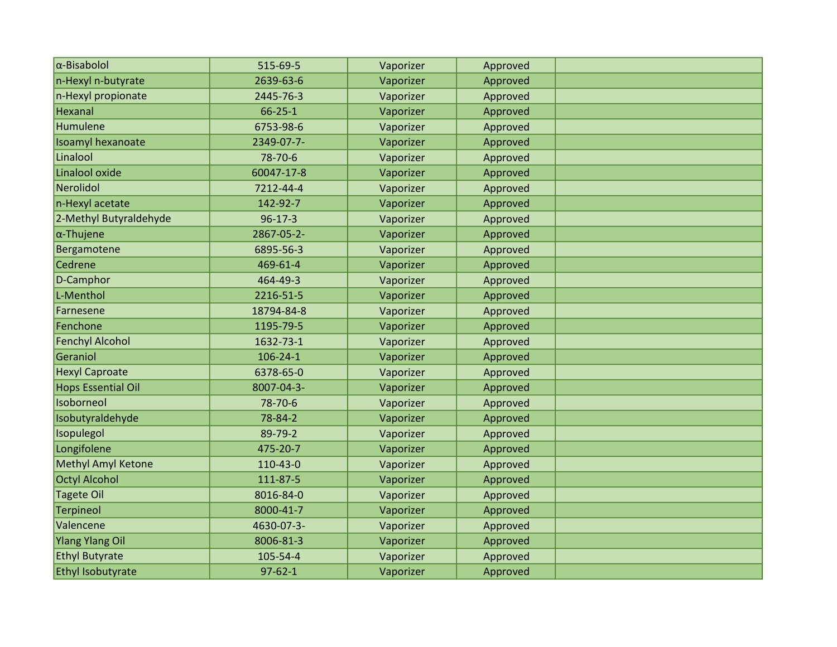| $\alpha$ -Bisabolol       | 515-69-5       | Vaporizer | Approved |  |
|---------------------------|----------------|-----------|----------|--|
| n-Hexyl n-butyrate        | 2639-63-6      | Vaporizer | Approved |  |
| n-Hexyl propionate        | 2445-76-3      | Vaporizer | Approved |  |
| Hexanal                   | $66 - 25 - 1$  | Vaporizer | Approved |  |
| Humulene                  | 6753-98-6      | Vaporizer | Approved |  |
| Isoamyl hexanoate         | 2349-07-7-     | Vaporizer | Approved |  |
| Linalool                  | 78-70-6        | Vaporizer | Approved |  |
| Linalool oxide            | 60047-17-8     | Vaporizer | Approved |  |
| Nerolidol                 | 7212-44-4      | Vaporizer | Approved |  |
| n-Hexyl acetate           | 142-92-7       | Vaporizer | Approved |  |
| 2-Methyl Butyraldehyde    | $96 - 17 - 3$  | Vaporizer | Approved |  |
| $\alpha$ -Thujene         | 2867-05-2-     | Vaporizer | Approved |  |
| Bergamotene               | 6895-56-3      | Vaporizer | Approved |  |
| Cedrene                   | 469-61-4       | Vaporizer | Approved |  |
| D-Camphor                 | 464-49-3       | Vaporizer | Approved |  |
| L-Menthol                 | 2216-51-5      | Vaporizer | Approved |  |
| Farnesene                 | 18794-84-8     | Vaporizer | Approved |  |
| Fenchone                  | 1195-79-5      | Vaporizer | Approved |  |
| <b>Fenchyl Alcohol</b>    | 1632-73-1      | Vaporizer | Approved |  |
| Geraniol                  | $106 - 24 - 1$ | Vaporizer | Approved |  |
| <b>Hexyl Caproate</b>     | 6378-65-0      | Vaporizer | Approved |  |
| Hops Essential Oil        | 8007-04-3-     | Vaporizer | Approved |  |
| Isoborneol                | 78-70-6        | Vaporizer | Approved |  |
| Isobutyraldehyde          | 78-84-2        | Vaporizer | Approved |  |
| Isopulegol                | 89-79-2        | Vaporizer | Approved |  |
| Longifolene               | 475-20-7       | Vaporizer | Approved |  |
| <b>Methyl Amyl Ketone</b> | 110-43-0       | Vaporizer | Approved |  |
| Octyl Alcohol             | 111-87-5       | Vaporizer | Approved |  |
| <b>Tagete Oil</b>         | 8016-84-0      | Vaporizer | Approved |  |
| <b>Terpineol</b>          | 8000-41-7      | Vaporizer | Approved |  |
| Valencene                 | 4630-07-3-     | Vaporizer | Approved |  |
| <b>Ylang Ylang Oil</b>    | 8006-81-3      | Vaporizer | Approved |  |
| <b>Ethyl Butyrate</b>     | 105-54-4       | Vaporizer | Approved |  |
| Ethyl Isobutyrate         | $97 - 62 - 1$  | Vaporizer | Approved |  |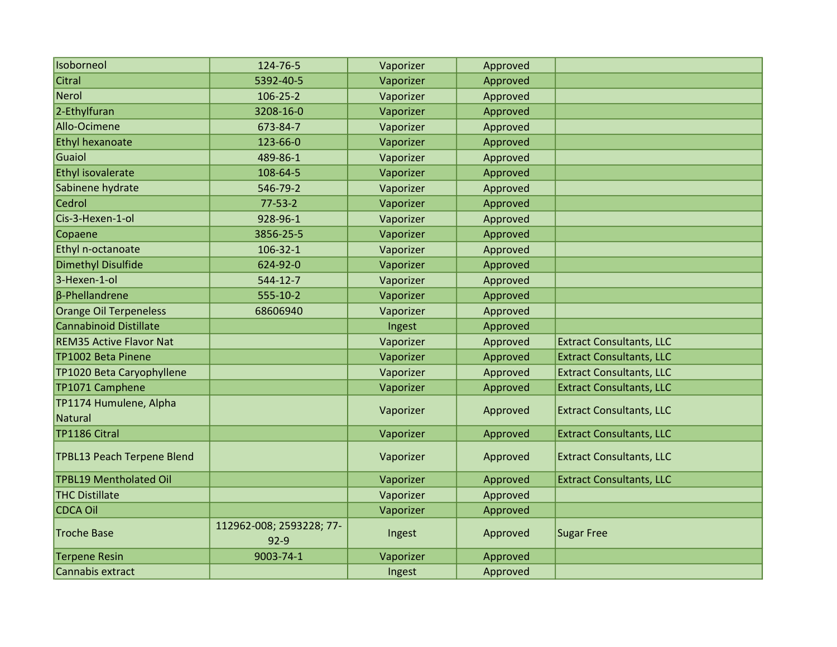| Isoborneol                        | 124-76-5                           | Vaporizer | Approved |                                 |
|-----------------------------------|------------------------------------|-----------|----------|---------------------------------|
| Citral                            | 5392-40-5                          | Vaporizer | Approved |                                 |
| Nerol                             | $106 - 25 - 2$                     | Vaporizer | Approved |                                 |
| 2-Ethylfuran                      | 3208-16-0                          | Vaporizer | Approved |                                 |
| Allo-Ocimene                      | 673-84-7                           | Vaporizer | Approved |                                 |
| <b>Ethyl hexanoate</b>            | 123-66-0                           | Vaporizer | Approved |                                 |
| Guaiol                            | 489-86-1                           | Vaporizer | Approved |                                 |
| Ethyl isovalerate                 | 108-64-5                           | Vaporizer | Approved |                                 |
| Sabinene hydrate                  | 546-79-2                           | Vaporizer | Approved |                                 |
| Cedrol                            | $77 - 53 - 2$                      | Vaporizer | Approved |                                 |
| Cis-3-Hexen-1-ol                  | 928-96-1                           | Vaporizer | Approved |                                 |
| Copaene                           | 3856-25-5                          | Vaporizer | Approved |                                 |
| Ethyl n-octanoate                 | $106 - 32 - 1$                     | Vaporizer | Approved |                                 |
| <b>Dimethyl Disulfide</b>         | 624-92-0                           | Vaporizer | Approved |                                 |
| 3-Hexen-1-ol                      | 544-12-7                           | Vaporizer | Approved |                                 |
| $\beta$ -Phellandrene             | 555-10-2                           | Vaporizer | Approved |                                 |
| Orange Oil Terpeneless            | 68606940                           | Vaporizer | Approved |                                 |
| Cannabinoid Distillate            |                                    | Ingest    | Approved |                                 |
| <b>REM35 Active Flavor Nat</b>    |                                    | Vaporizer | Approved | <b>Extract Consultants, LLC</b> |
| TP1002 Beta Pinene                |                                    | Vaporizer | Approved | <b>Extract Consultants, LLC</b> |
| TP1020 Beta Caryophyllene         |                                    | Vaporizer | Approved | <b>Extract Consultants, LLC</b> |
| TP1071 Camphene                   |                                    | Vaporizer | Approved | <b>Extract Consultants, LLC</b> |
| TP1174 Humulene, Alpha<br>Natural |                                    | Vaporizer | Approved | <b>Extract Consultants, LLC</b> |
| TP1186 Citral                     |                                    | Vaporizer | Approved | <b>Extract Consultants, LLC</b> |
|                                   |                                    |           |          |                                 |
| TPBL13 Peach Terpene Blend        |                                    | Vaporizer | Approved | <b>Extract Consultants, LLC</b> |
| <b>TPBL19 Mentholated Oil</b>     |                                    | Vaporizer | Approved | <b>Extract Consultants, LLC</b> |
| <b>THC Distillate</b>             |                                    | Vaporizer | Approved |                                 |
| <b>CDCA Oil</b>                   |                                    | Vaporizer | Approved |                                 |
| <b>Troche Base</b>                | 112962-008; 2593228; 77-<br>$92-9$ | Ingest    | Approved | Sugar Free                      |
| <b>Terpene Resin</b>              | 9003-74-1                          | Vaporizer | Approved |                                 |
| Cannabis extract                  |                                    | Ingest    | Approved |                                 |